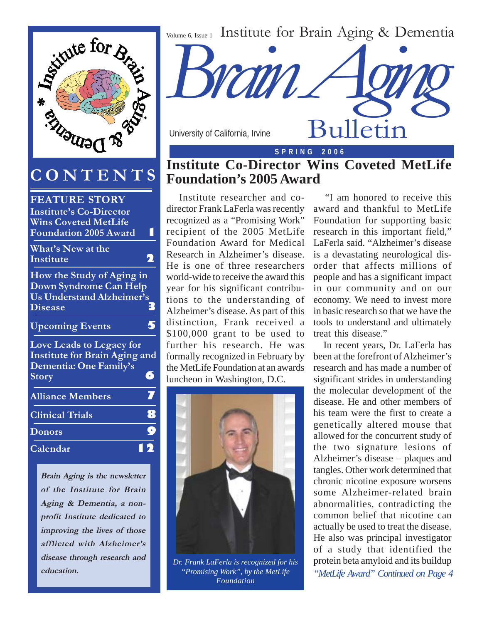

# **CONTENTS**

| <b>FEATURE STORY</b>                 |                  |
|--------------------------------------|------------------|
| <b>Institute's Co-Director</b>       |                  |
| <b>Wins Coveted MetLife</b>          |                  |
| <b>Foundation 2005 Award</b>         |                  |
| What's New at the                    |                  |
| <b>Institute</b>                     |                  |
| How the Study of Aging in            |                  |
| Down Syndrome Can Help               |                  |
| <b>Us Understand Alzheimer's</b>     |                  |
| <b>Disease</b>                       | 3                |
| <b>Upcoming Events</b>               |                  |
| <b>Love Leads to Legacy for</b>      |                  |
| <b>Institute for Brain Aging and</b> |                  |
| Dementia: One Family's               |                  |
| <b>Story</b>                         | Э                |
| <b>Alliance Members</b>              | $\overline{\nu}$ |
| <b>Clinical Trials</b>               | 8                |
| <b>Donors</b>                        | O                |
| Calendar                             |                  |
|                                      |                  |

**Brain Aging is the newsletter of the Institute for Brain Aging & Dementia, a nonprofit Institute dedicated to improving the lives of those afflicted with Alzheimer's disease through research and education.**



University of California, Irvine

**S P R I N G 2 0 0 6**

Bulletin

### **Institute Co-Director Wins Coveted MetLife Foundation's 2005 Award**

 Institute researcher and codirector Frank LaFerla was recently recognized as a "Promising Work" recipient of the 2005 MetLife Foundation Award for Medical Research in Alzheimer's disease. He is one of three researchers world-wide to receive the award this year for his significant contributions to the understanding of Alzheimer's disease. As part of this distinction, Frank received a \$100,000 grant to be used to further his research. He was formally recognized in February by the MetLife Foundation at an awards luncheon in Washington, D.C.



*Dr. Frank LaFerla is recognized for his "Promising Work", by the MetLife Foundation "MetLife Award" Continued on Page 4*

 "I am honored to receive this award and thankful to MetLife Foundation for supporting basic research in this important field," LaFerla said. "Alzheimer's disease is a devastating neurological disorder that affects millions of people and has a significant impact in our community and on our economy. We need to invest more in basic research so that we have the tools to understand and ultimately treat this disease."

 In recent years, Dr. LaFerla has been at the forefront of Alzheimer's research and has made a number of significant strides in understanding the molecular development of the disease. He and other members of his team were the first to create a genetically altered mouse that allowed for the concurrent study of the two signature lesions of Alzheimer's disease – plaques and tangles. Other work determined that chronic nicotine exposure worsens some Alzheimer-related brain abnormalities, contradicting the common belief that nicotine can actually be used to treat the disease. He also was principal investigator of a study that identified the protein beta amyloid and its buildup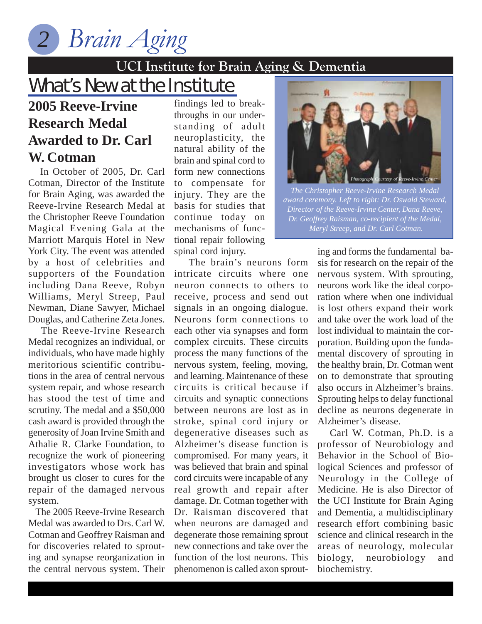*Brain Aging 2*

### **UCI Institute for Brain Aging & Dementia**

# What's New at the Institute

# **2005 Reeve-Irvine Research Medal Awarded to Dr. Carl W. Cotman**

 In October of 2005, Dr. Carl Cotman, Director of the Institute for Brain Aging, was awarded the Reeve-Irvine Research Medal at the Christopher Reeve Foundation Magical Evening Gala at the Marriott Marquis Hotel in New York City. The event was attended by a host of celebrities and supporters of the Foundation including Dana Reeve, Robyn Williams, Meryl Streep, Paul Newman, Diane Sawyer, Michael Douglas, and Catherine Zeta Jones.

 The Reeve-Irvine Research Medal recognizes an individual, or individuals, who have made highly meritorious scientific contributions in the area of central nervous system repair, and whose research has stood the test of time and scrutiny. The medal and a \$50,000 cash award is provided through the generosity of Joan Irvine Smith and Athalie R. Clarke Foundation, to recognize the work of pioneering investigators whose work has brought us closer to cures for the repair of the damaged nervous system.

 The 2005 Reeve-Irvine Research Medal was awarded to Drs. Carl W. Cotman and Geoffrey Raisman and for discoveries related to sprouting and synapse reorganization in the central nervous system. Their

findings led to breakthroughs in our understanding of adult neuroplasticity, the natural ability of the brain and spinal cord to form new connections to compensate for injury. They are the basis for studies that continue today on mechanisms of functional repair following spinal cord injury.

 The brain's neurons form intricate circuits where one neuron connects to others to receive, process and send out signals in an ongoing dialogue. Neurons form connections to each other via synapses and form complex circuits. These circuits process the many functions of the nervous system, feeling, moving, and learning. Maintenance of these circuits is critical because if circuits and synaptic connections between neurons are lost as in stroke, spinal cord injury or degenerative diseases such as Alzheimer's disease function is compromised. For many years, it was believed that brain and spinal cord circuits were incapable of any real growth and repair after damage. Dr. Cotman together with Dr. Raisman discovered that when neurons are damaged and degenerate those remaining sprout new connections and take over the function of the lost neurons. This phenomenon is called axon sprout-



*The Christopher Reeve-Irvine Research Medal award ceremony. Left to right: Dr. Oswald Steward, Director of the Reeve-Irvine Center, Dana Reeve, Dr. Geoffrey Raisman, co-recipient of the Medal, Meryl Streep, and Dr. Carl Cotman.*

ing and forms the fundamental basis for research on the repair of the nervous system. With sprouting, neurons work like the ideal corporation where when one individual is lost others expand their work and take over the work load of the lost individual to maintain the corporation. Building upon the fundamental discovery of sprouting in the healthy brain, Dr. Cotman went on to demonstrate that sprouting also occurs in Alzheimer's brains. Sprouting helps to delay functional decline as neurons degenerate in Alzheimer's disease.

 Carl W. Cotman, Ph.D. is a professor of Neurobiology and Behavior in the School of Biological Sciences and professor of Neurology in the College of Medicine. He is also Director of the UCI Institute for Brain Aging and Dementia, a multidisciplinary research effort combining basic science and clinical research in the areas of neurology, molecular biology, neurobiology and biochemistry.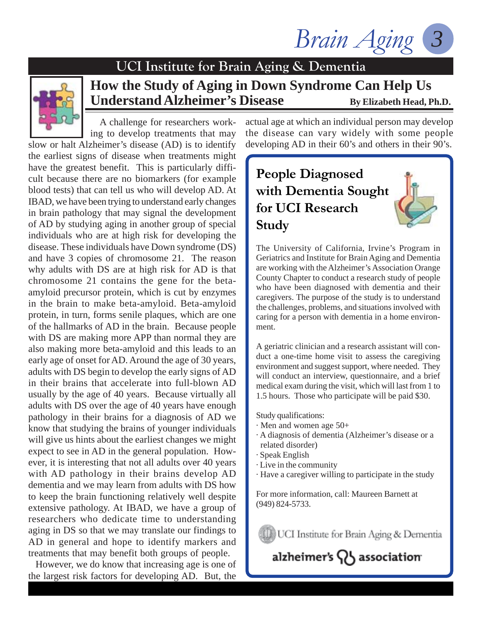Brain Aging



# **How the Study of Aging in Down Syndrome Can Help Us** Understand Alzheimer's Disease By Elizabeth Head, Ph.D.

 A challenge for researchers working to develop treatments that may

slow or halt Alzheimer's disease (AD) is to identify the earliest signs of disease when treatments might have the greatest benefit. This is particularly difficult because there are no biomarkers (for example blood tests) that can tell us who will develop AD. At IBAD, we have been trying to understand early changes in brain pathology that may signal the development of AD by studying aging in another group of special individuals who are at high risk for developing the disease. These individuals have Down syndrome (DS) and have 3 copies of chromosome 21. The reason why adults with DS are at high risk for AD is that chromosome 21 contains the gene for the betaamyloid precursor protein, which is cut by enzymes in the brain to make beta-amyloid. Beta-amyloid protein, in turn, forms senile plaques, which are one of the hallmarks of AD in the brain. Because people with DS are making more APP than normal they are also making more beta-amyloid and this leads to an early age of onset for AD. Around the age of 30 years, adults with DS begin to develop the early signs of AD in their brains that accelerate into full-blown AD usually by the age of 40 years. Because virtually all adults with DS over the age of 40 years have enough pathology in their brains for a diagnosis of AD we know that studying the brains of younger individuals will give us hints about the earliest changes we might expect to see in AD in the general population. However, it is interesting that not all adults over 40 years with AD pathology in their brains develop AD dementia and we may learn from adults with DS how to keep the brain functioning relatively well despite extensive pathology. At IBAD, we have a group of researchers who dedicate time to understanding aging in DS so that we may translate our findings to AD in general and hope to identify markers and treatments that may benefit both groups of people.

 However, we do know that increasing age is one of the largest risk factors for developing AD. But, the

actual age at which an individual person may develop the disease can vary widely with some people developing AD in their 60's and others in their 90's.

## **People Diagnosed with Dementia Sought for UCI Research Study**

The University of California, Irvine's Program in Geriatrics and Institute for Brain Aging and Dementia are working with the Alzheimer's Association Orange County Chapter to conduct a research study of people who have been diagnosed with dementia and their caregivers. The purpose of the study is to understand the challenges, problems, and situations involved with caring for a person with dementia in a home environment.

A geriatric clinician and a research assistant will conduct a one-time home visit to assess the caregiving environment and suggest support, where needed. They will conduct an interview, questionnaire, and a brief medical exam during the visit, which will last from 1 to 1.5 hours. Those who participate will be paid \$30.

Study qualifications:

- · Men and women age 50+
- · A diagnosis of dementia (Alzheimer's disease or a related disorder)
- · Speak English
- · Live in the community
- · Have a caregiver willing to participate in the study

For more information, call: Maureen Barnett at (949) 824-5733.

UCI Institute for Brain Aging & Dementia

alzheimer's QS association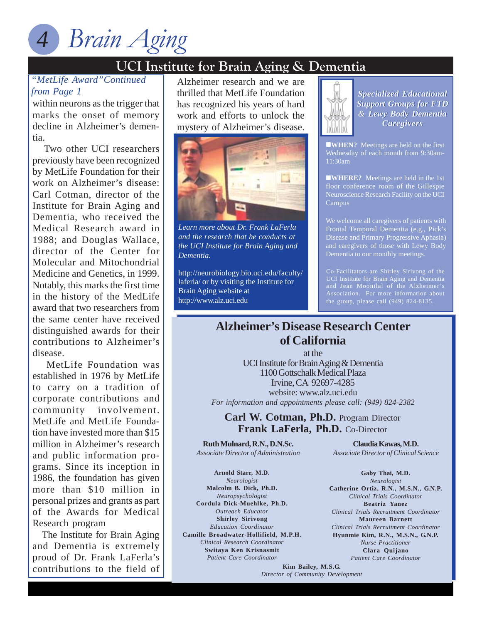

# *Brain Aging 4*

# **UCI Institute for Brain Aging & Dementia**

#### *"MetLife Award"Continued from Page 1*

within neurons as the trigger that marks the onset of memory decline in Alzheimer's dementia.

 Two other UCI researchers previously have been recognized by MetLife Foundation for their work on Alzheimer's disease: Carl Cotman, director of the Institute for Brain Aging and Dementia, who received the Medical Research award in 1988; and Douglas Wallace, director of the Center for Molecular and Mitochondrial Medicine and Genetics, in 1999. Notably, this marks the first time in the history of the MedLife award that two researchers from the same center have received distinguished awards for their contributions to Alzheimer's disease.

 MetLife Foundation was established in 1976 by MetLife to carry on a tradition of corporate contributions and community involvement. MetLife and MetLife Foundation have invested more than \$15 million in Alzheimer's research and public information programs. Since its inception in 1986, the foundation has given more than \$10 million in personal prizes and grants as part of the Awards for Medical Research program

 The Institute for Brain Aging and Dementia is extremely proud of Dr. Frank LaFerla's contributions to the field of

**UCI III** Alzheimer research and we are thrilled that MetLife Foundation has recognized his years of hard work and efforts to unlock the mystery of Alzheimer's disease.



*Learn more about Dr. Frank LaFerla and the research that he conducts at the UCI Institute for Brain Aging and Dementia.*

http://neurobiology.bio.uci.edu/faculty/ laferla/ or by visiting the Institute for Brain Aging website at http://www.alz.uci.edu

*Specialized Educational Specialized Educational Support Groups for FTD Support Groups for & Lewy Body Dementia & Lewy Body DementiaCaregivers Caregivers*

**WHEN?** Meetings are held on the first Wednesday of each month from 9:30am-11:30am

**WHERE?** Meetings are held in the 1st floor conference room of the Gillespie Neuroscience Research Facility on the UCI Campus

We welcome all caregivers of patients with Frontal Temporal Dementia (e.g., Pick's Disease and Primary Progressive Aphasia) and caregivers of those with Lewy Body Dementia to our monthly meetings.

Co-Facilitators are Shirley Sirivong of the UCI Institute for Brain Aging and Dementia

### **Alzheimer's Disease Research Center of California**

at the UCI Institute for Brain Aging & Dementia 1100 Gottschalk Medical Plaza Irvine, CA 92697-4285 website: www.alz.uci.edu *For information and appointments please call: (949) 824-2382*

**Carl W. Cotman, Ph.D.** Program Director **Frank LaFerla, Ph.D.** Co-Director

**Ruth Mulnard, R.N., D.N.Sc.** *Associate Director of Administration*

**Arnold Starr, M.D.** *Neurologist* **Malcolm B. Dick, Ph.D.** *Neuropsychologist* **Cordula Dick-Muehlke, Ph.D.** *Outreach Educator* **Shirley Sirivong** *Education Coordinator* **Camille Broadwater-Hollifield, M.P.H.** *Clinical Research Coordinator* **Switaya Ken Krisnasmit** *Patient Care Coordinator*

**Claudia Kawas, M.D.** *Associate Director of Clinical Science*

**Gaby Thai, M.D.** *Neurologist* **Catherine Ortiz, R.N., M.S.N., G.N.P.** *Clinical Trials Coordinator* **Beatriz Yanez** *Clinical Trials Recruitment Coordinator* **Maureen Barnett** *Clinical Trials Recruitment Coordinator* **Hyunmie Kim, R.N., M.S.N., G.N.P.** *Nurse Practitioner* **Clara Quijano** *Patient Care Coordinator*

**Kim Bailey, M.S.G.** *Director of Community Development*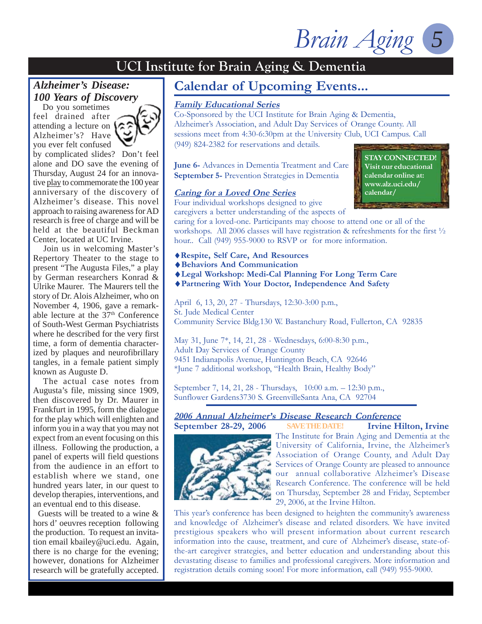Brain Aging

**STAY CONNECTED! Visit our educational calendar online at: www.alz.uci.edu/ calendar/**

### **UCI Institute for Brain Aging & Dementia**

#### *Alzheimer's Disease: 100 Years of Discovery*

 Do you sometimes feel drained after attending a lecture on Alzheimer's? Have you ever felt confused



by complicated slides? Don't feel alone and DO save the evening of Thursday, August 24 for an innovative play to commemorate the 100 year anniversary of the discovery of Alzheimer's disease. This novel approach to raising awareness for AD research is free of charge and will be held at the beautiful Beckman Center, located at UC Irvine.

 Join us in welcoming Master's Repertory Theater to the stage to present "The Augusta Files," a play by German researchers Konrad & Ulrike Maurer. The Maurers tell the story of Dr. Alois Alzheimer, who on November 4, 1906, gave a remarkable lecture at the  $37<sup>th</sup>$  Conference of South-West German Psychiatrists where he described for the very first time, a form of dementia characterized by plaques and neurofibrillary tangles, in a female patient simply known as Auguste D.

 The actual case notes from Augusta's file, missing since 1909, then discovered by Dr. Maurer in Frankfurt in 1995, form the dialogue for the play which will enlighten and inform you in a way that you may not expect from an event focusing on this illness. Following the production, a panel of experts will field questions from the audience in an effort to establish where we stand, one hundred years later, in our quest to develop therapies, interventions, and an eventual end to this disease.

 Guests will be treated to a wine & hors d' oeuvres reception following the production. To request an invitation email kbailey@uci.edu. Again, there is no charge for the evening; however, donations for Alzheimer research will be gratefully accepted.

### **Calendar of Upcoming Events...**

#### **Family Educational Series**

Co-Sponsored by the UCI Institute for Brain Aging & Dementia, Alzheimer's Association, and Adult Day Services of Orange County. All sessions meet from 4:30-6:30pm at the University Club, UCI Campus. Call (949) 824-2382 for reservations and details.

**June 6-** Advances in Dementia Treatment and Care **September 5-** Prevention Strategies in Dementia

#### **Caring for a Loved One Series**

Four individual workshops designed to give

caregivers a better understanding of the aspects of caring for a loved-one. Participants may choose to attend one or all of the

workshops. All 2006 classes will have registration & refreshments for the first  $\frac{1}{2}$ hour.. Call (949) 955-9000 to RSVP or for more information.

- ♦**Respite, Self Care, And Resources**
- ♦**Behaviors And Communication**
- ♦**Legal Workshop: Medi-Cal Planning For Long Term Care**
- ♦**Partnering With Your Doctor, Independence And Safety**

April 6, 13, 20, 27 - Thursdays, 12:30-3:00 p.m., St. Jude Medical Center Community Service Bldg.130 W. Bastanchury Road, Fullerton, CA 92835

May 31, June 7\*, 14, 21, 28 - Wednesdays, 6:00-8:30 p.m., Adult Day Services of Orange County 9451 Indianapolis Avenue, Huntington Beach, CA 92646 \*June 7 additional workshop, "Health Brain, Healthy Body"

September 7, 14, 21, 28 - Thursdays, 10:00 a.m. – 12:30 p.m., Sunflower Gardens3730 S. GreenvilleSanta Ana, CA 92704

### **2006 Annual Alzheimer's Disease Research Conference**



September 28-29, 2006 SAVETHEDATE! Irvine Hilton, Irvine The Institute for Brain Aging and Dementia at the University of California, Irvine, the Alzheimer's Association of Orange County, and Adult Day Services of Orange County are pleased to announce our annual collaborative Alzheimer's Disease Research Conference. The conference will be held on Thursday, September 28 and Friday, September 29, 2006, at the Irvine Hilton. **SAVE THE DATE!** 

This year's conference has been designed to heighten the community's awareness and knowledge of Alzheimer's disease and related disorders. We have invited prestigious speakers who will present information about current research information into the cause, treatment, and cure of Alzheimer's disease, state-ofthe-art caregiver strategies, and better education and understanding about this devastating disease to families and professional caregivers. More information and registration details coming soon! For more information, call (949) 955-9000.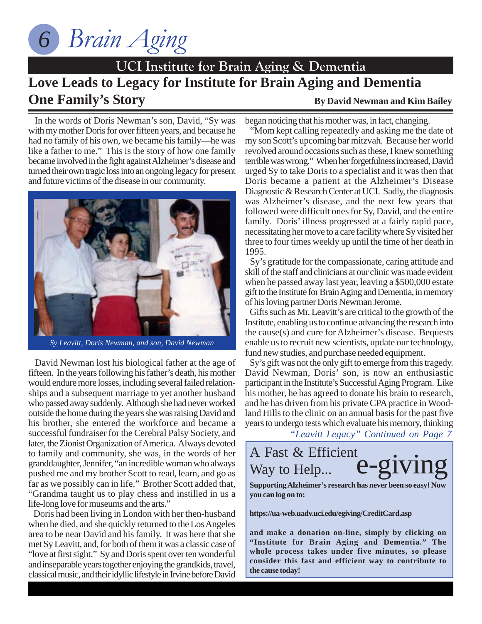

# **Love Leads to Legacy for Institute for Brain Aging and Dementia UCI Institute for Brain Aging & Dementia One Family's Story** By David Newman and Kim Bailey

 In the words of Doris Newman's son, David, "Sy was with my mother Doris for over fifteen years, and because he had no family of his own, we became his family—he was like a father to me." This is the story of how one family became involved in the fight against Alzheimer's disease and turned their own tragic loss into an ongoing legacy for present and future victims of the disease in our community.



*Sy Leavitt, Doris Newman, and son, David Newman*

 David Newman lost his biological father at the age of fifteen. In the years following his father's death, his mother would endure more losses, including several failed relationships and a subsequent marriage to yet another husband who passed away suddenly. Although she had never worked outside the home during the years she was raising David and his brother, she entered the workforce and became a successful fundraiser for the Cerebral Palsy Society, and later, the Zionist Organization of America. Always devoted to family and community, she was, in the words of her granddaughter, Jennifer, "an incredible woman who always pushed me and my brother Scott to read, learn, and go as far as we possibly can in life." Brother Scott added that, "Grandma taught us to play chess and instilled in us a life-long love for museums and the arts."

 Doris had been living in London with her then-husband when he died, and she quickly returned to the Los Angeles area to be near David and his family. It was here that she met Sy Leavitt, and, for both of them it was a classic case of "love at first sight." Sy and Doris spent over ten wonderful and inseparable years together enjoying the grandkids, travel, classical music, and their idyllic lifestyle in Irvine before David began noticing that his mother was, in fact, changing.

 "Mom kept calling repeatedly and asking me the date of my son Scott's upcoming bar mitzvah. Because her world revolved around occasions such as these, I knew something terrible was wrong." When her forgetfulness increased, David urged Sy to take Doris to a specialist and it was then that Doris became a patient at the Alzheimer's Disease Diagnostic & Research Center at UCI. Sadly, the diagnosis was Alzheimer's disease, and the next few years that followed were difficult ones for Sy, David, and the entire family. Doris' illness progressed at a fairly rapid pace, necessitating her move to a care facility where Sy visited her three to four times weekly up until the time of her death in 1995.

 Sy's gratitude for the compassionate, caring attitude and skill of the staff and clinicians at our clinic was made evident when he passed away last year, leaving a \$500,000 estate gift to the Institute for Brain Aging and Dementia, in memory of his loving partner Doris Newman Jerome.

 Gifts such as Mr. Leavitt's are critical to the growth of the Institute, enabling us to continue advancing the research into the cause(s) and cure for Alzheimer's disease. Bequests enable us to recruit new scientists, update our technology, fund new studies, and purchase needed equipment.

 Sy's gift was not the only gift to emerge from this tragedy. David Newman, Doris' son, is now an enthusiastic participant in the Institute's Successful Aging Program. Like his mother, he has agreed to donate his brain to research, and he has driven from his private CPA practice in Woodland Hills to the clinic on an annual basis for the past five years to undergo tests which evaluate his memory, thinking

*"Leavitt Legacy" Continued on Page 7*



**Supporting Alzheimer's research has never been so easy! Now you can log on to:**

**https://ua-web.uadv.uci.edu/egiving/CreditCard.asp**

**and make a donation on-line, simply by clicking on "Institute for Brain Aging and Dementia." The whole process takes under five minutes, so please consider this fast and efficient way to contribute to the cause today!**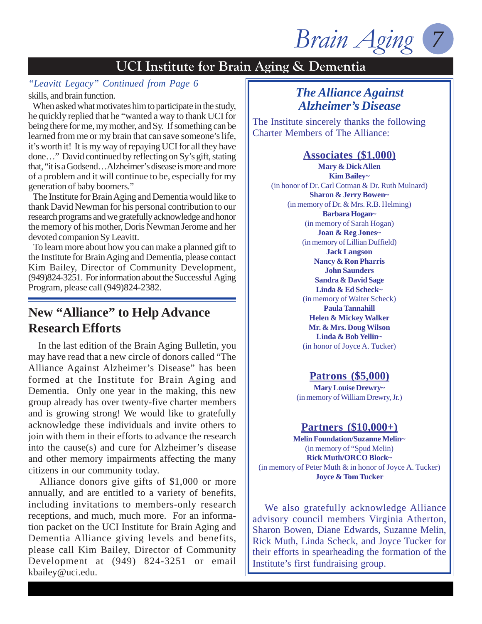*Brain Aging* 

*"Leavitt Legacy" Continued from Page 6* skills, and brain function.

 When asked what motivates him to participate in the study, he quickly replied that he "wanted a way to thank UCI for being there for me, my mother, and Sy. If something can be learned from me or my brain that can save someone's life, it's worth it! It is my way of repaying UCI for all they have done…" David continued by reflecting on Sy's gift, stating that, "it is a Godsend…Alzheimer's disease is more and more of a problem and it will continue to be, especially for my generation of baby boomers."

 The Institute for Brain Aging and Dementia would like to thank David Newman for his personal contribution to our research programs and we gratefully acknowledge and honor the memory of his mother, Doris Newman Jerome and her devoted companion Sy Leavitt.

 To learn more about how you can make a planned gift to the Institute for Brain Aging and Dementia, please contact Kim Bailey, Director of Community Development, (949)824-3251. For information about the Successful Aging Program, please call (949)824-2382.

### **New "Alliance" to Help Advance Research Efforts**

 In the last edition of the Brain Aging Bulletin, you may have read that a new circle of donors called "The Alliance Against Alzheimer's Disease" has been formed at the Institute for Brain Aging and Dementia. Only one year in the making, this new group already has over twenty-five charter members and is growing strong! We would like to gratefully acknowledge these individuals and invite others to join with them in their efforts to advance the research into the cause(s) and cure for Alzheimer's disease and other memory impairments affecting the many citizens in our community today.

 Alliance donors give gifts of \$1,000 or more annually, and are entitled to a variety of benefits, including invitations to members-only research receptions, and much, much more. For an information packet on the UCI Institute for Brain Aging and Dementia Alliance giving levels and benefits, please call Kim Bailey, Director of Community Development at (949) 824-3251 or email kbailey@uci.edu.

### *The Alliance Against Alzheimer's Disease*

The Institute sincerely thanks the following Charter Members of The Alliance:

#### **Associates (\$1,000)**

**Mary & Dick Allen Kim Bailey~** (in honor of Dr. Carl Cotman & Dr. Ruth Mulnard) **Sharon & Jerry Bowen~** (in memory of Dr. & Mrs. R.B. Helming) **Barbara Hogan~** (in memory of Sarah Hogan) **Joan & Reg Jones~** (in memory of Lillian Duffield) **Jack Langson Nancy & Ron Pharris John Saunders Sandra & David Sage Linda & Ed Scheck~** (in memory of Walter Scheck) **Paula Tannahill Helen & Mickey Walker Mr. & Mrs. Doug Wilson Linda & Bob Yellin~** (in honor of Joyce A. Tucker)

#### **Patrons (\$5,000)**

**Mary Louise Drewry~** (in memory of William Drewry, Jr.)

#### **Partners (\$10,000+)**

**Melin Foundation/Suzanne Melin~** (in memory of "Spud Melin) **Rick Muth/ORCO Block~** (in memory of Peter Muth & in honor of Joyce A. Tucker) **Joyce & Tom Tucker**

 We also gratefully acknowledge Alliance advisory council members Virginia Atherton, Sharon Bowen, Diane Edwards, Suzanne Melin, Rick Muth, Linda Scheck, and Joyce Tucker for their efforts in spearheading the formation of the Institute's first fundraising group.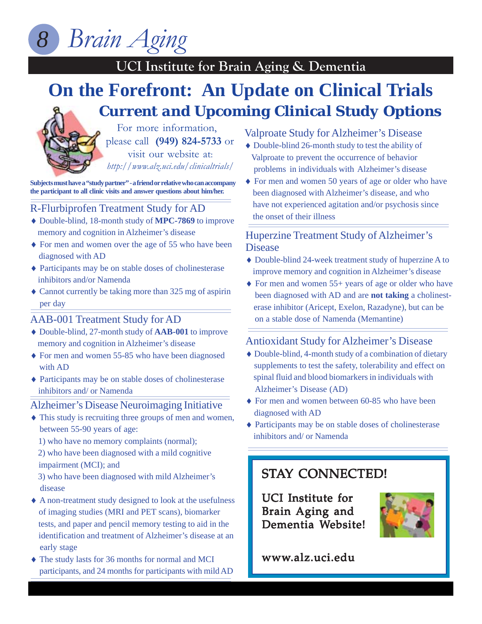

### **UCI Institute for Brain Aging & Dementia On the Forefront: An Update on Clinical Trials** *Current and Upcoming Clinical Study Options*

For more information, please call **(949) 824-5733** or visit our website at: *http://www.alz.uci.edu/clinicaltrials/*

**Subjects must have a "study partner" - a friend or relative who can accompany the participant to all clinic visits and answer questions about him/her.**

#### R-Flurbiprofen Treatment Study for AD

- ♦ Double-blind, 18-month study of **MPC-7869** to improve memory and cognition in Alzheimer's disease
- ♦ For men and women over the age of 55 who have been diagnosed with AD
- ♦ Participants may be on stable doses of cholinesterase inhibitors and/or Namenda
- ♦ Cannot currently be taking more than 325 mg of aspirin per day

#### AAB-001 Treatment Study for AD

- ♦ Double-blind, 27-month study of **AAB-001** to improve memory and cognition in Alzheimer's disease
- ♦ For men and women 55-85 who have been diagnosed with AD
- ♦ Participants may be on stable doses of cholinesterase inhibitors and/ or Namenda

#### Alzheimer's Disease Neuroimaging Initiative

- ♦ This study is recruiting three groups of men and women, between 55-90 years of age:
	- 1) who have no memory complaints (normal);

 2) who have been diagnosed with a mild cognitive impairment (MCI); and

 3) who have been diagnosed with mild Alzheimer's disease

- ♦ A non-treatment study designed to look at the usefulness of imaging studies (MRI and PET scans), biomarker tests, and paper and pencil memory testing to aid in the identification and treatment of Alzheimer's disease at an early stage
- ♦ The study lasts for 36 months for normal and MCI participants, and 24 months for participants with mild AD

#### Valproate Study for Alzheimer's Disease

- ♦ Double-blind 26-month study to test the ability of Valproate to prevent the occurrence of behavior problems in individuals with Alzheimer's disease
- ♦ For men and women 50 years of age or older who have been diagnosed with Alzheimer's disease, and who have not experienced agitation and/or psychosis since the onset of their illness

#### Huperzine Treatment Study of Alzheimer's Disease

- ♦ Double-blind 24-week treatment study of huperzine A to improve memory and cognition in Alzheimer's disease
- ♦ For men and women 55+ years of age or older who have been diagnosed with AD and are **not taking** a cholinest erase inhibitor (Aricept, Exelon, Razadyne), but can be on a stable dose of Namenda (Memantine)

#### Antioxidant Study for Alzheimer's Disease

- ♦ Double-blind, 4-month study of a combination of dietary supplements to test the safety, tolerability and effect on spinal fluid and blood biomarkers in individuals with Alzheimer's Disease (AD)
- ♦ For men and women between 60-85 who have been diagnosed with AD
- ♦ Participants may be on stable doses of cholinesterase inhibitors and/ or Namenda

### **STAY CONNECTED!**

UCI Institute for Brain Aging and Dementia Website!



www.alz.uci.edu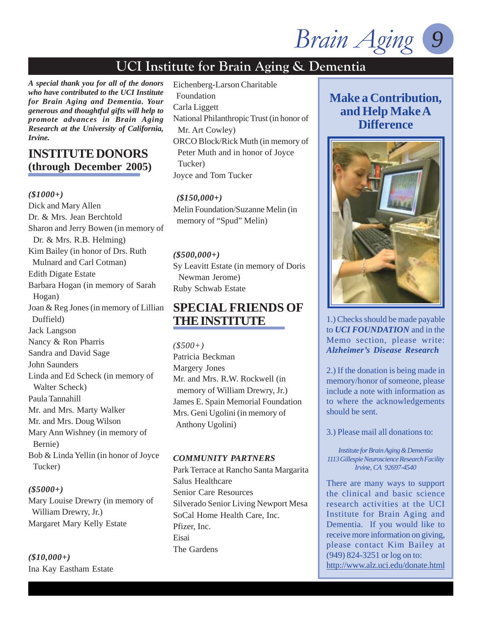*Brain Aging 9*

*A special thank you for all of the donors who have contributed to the UCI Institute for Brain Aging and Dementia. Your generous and thoughtful gifts will help to promote advances in Brain Aging Research at the University of California, Irvine.*

#### **INSTITUTE DONORS (through December 2005)**

#### *(\$1000+)*

Dick and Mary Allen Dr. & Mrs. Jean Berchtold Sharon and Jerry Bowen (in memory of Dr. & Mrs. R.B. Helming) Kim Bailey (in honor of Drs. Ruth Mulnard and Carl Cotman) Edith Digate Estate Barbara Hogan (in memory of Sarah Hogan) Joan & Reg Jones (in memory of Lillian Duffield) Jack Langson Nancy & Ron Pharris Sandra and David Sage John Saunders Linda and Ed Scheck (in memory of Walter Scheck) Paula Tannahill Mr. and Mrs. Marty Walker Mr. and Mrs. Doug Wilson Mary Ann Wishney (in memory of Bernie) Bob & Linda Yellin (in honor of Joyce Tucker)

#### *(\$5000+)*

Mary Louise Drewry (in memory of William Drewry, Jr.) Margaret Mary Kelly Estate

*(\$10,000+)* Ina Kay Eastham Estate Eichenberg-Larson Charitable Foundation Carla Liggett National Philanthropic Trust (in honor of Mr. Art Cowley) ORCO Block/Rick Muth (in memory of Peter Muth and in honor of Joyce Tucker) Joyce and Tom Tucker

 *(\$150,000+)* Melin Foundation/Suzanne Melin (in memory of "Spud" Melin)

#### *(\$500,000+)*

Sy Leavitt Estate (in memory of Doris Newman Jerome) Ruby Schwab Estate

### **SPECIAL FRIENDS OF THE INSTITUTE**

*(\$500+)* Patricia Beckman Margery Jones Mr. and Mrs. R.W. Rockwell (in memory of William Drewry, Jr.) James E. Spain Memorial Foundation Mrs. Geni Ugolini (in memory of Anthony Ugolini)

#### *COMMUNITY PARTNERS*

Park Terrace at Rancho Santa Margarita Salus Healthcare Senior Care Resources Silverado Senior Living Newport Mesa SoCal Home Health Care, Inc. Pfizer, Inc. Eisai The Gardens

### **Make a Contribution, and Help Make A Difference**



1.) Checks should be made payable to *UCI FOUNDATION* and in the Memo section, please write: *Alzheimer's Disease Research*

2.) If the donation is being made in memory/honor of someone, please include a note with information as to where the acknowledgements should be sent.

3.) Please mail all donations to:

*Institute for Brain Aging & Dementia 1113 Gillespie Neuroscience Research Facility Irvine, CA 92697-4540*

There are many ways to support the clinical and basic science research activities at the UCI Institute for Brain Aging and Dementia. If you would like to receive more information on giving, please contact Kim Bailey at (949) 824-3251 or log on to: http://www.alz.uci.edu/donate.html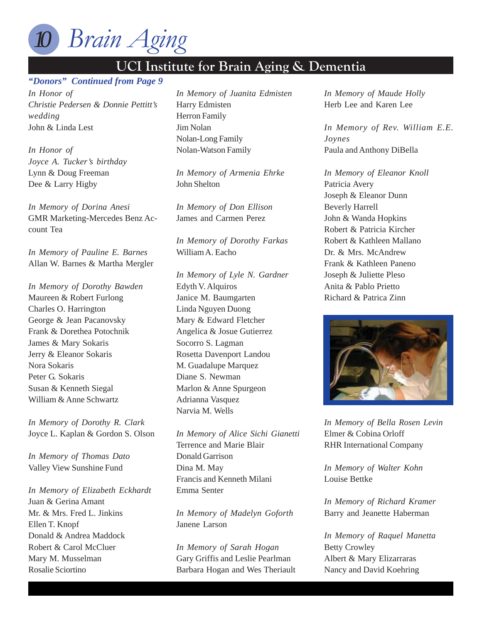

#### **UCI Institute for Branch Aging Branch Aging Aging Aging Aging Aging Aging Aging Aging Aging Aging Aging Aging** Aging Aging Aging Aging Aging Aging Aging Aging Aging Aging Aging Aging Aging Aging Aging Aging Aging Aging Ag *"Donors" Continued from Page 9*

*In Honor of Christie Pedersen & Donnie Pettitt's wedding* John & Linda Lest

*In Honor of Joyce A. Tucker's birthday* Lynn & Doug Freeman Dee & Larry Higby

*In Memory of Dorina Anesi* GMR Marketing-Mercedes Benz Account Tea

*In Memory of Pauline E. Barnes* Allan W. Barnes & Martha Mergler

*In Memory of Dorothy Bawden* Maureen & Robert Furlong Charles O. Harrington George & Jean Pacanovsky Frank & Dorethea Potochnik James & Mary Sokaris Jerry & Eleanor Sokaris Nora Sokaris Peter G. Sokaris Susan & Kenneth Siegal William & Anne Schwartz

*In Memory of Dorothy R. Clark* Joyce L. Kaplan & Gordon S. Olson

*In Memory of Thomas Dato* Valley View Sunshine Fund

*In Memory of Elizabeth Eckhardt* Juan & Gerina Amant Mr. & Mrs. Fred L. Jinkins Ellen T. Knopf Donald & Andrea Maddock Robert & Carol McCluer Mary M. Musselman Rosalie Sciortino

*In Memory of Juanita Edmisten* Harry Edmisten Herron Family Jim Nolan Nolan-Long Family Nolan-Watson Family

*In Memory of Armenia Ehrke* John Shelton

*In Memory of Don Ellison* James and Carmen Perez

*In Memory of Dorothy Farkas* William A. Eacho

*In Memory of Lyle N. Gardner* Edyth V. Alquiros Janice M. Baumgarten Linda Nguyen Duong Mary & Edward Fletcher Angelica & Josue Gutierrez Socorro S. Lagman Rosetta Davenport Landou M. Guadalupe Marquez Diane S. Newman Marlon & Anne Spurgeon Adrianna Vasquez Narvia M. Wells

*In Memory of Alice Sichi Gianetti* Terrence and Marie Blair Donald Garrison Dina M. May Francis and Kenneth Milani Emma Senter

*In Memory of Madelyn Goforth* Janene Larson

*In Memory of Sarah Hogan* Gary Griffis and Leslie Pearlman Barbara Hogan and Wes Theriault *In Memory of Maude Holly* Herb Lee and Karen Lee

*In Memory of Rev. William E.E. Joynes* Paula and Anthony DiBella

*In Memory of Eleanor Knoll* Patricia Avery Joseph & Eleanor Dunn Beverly Harrell John & Wanda Hopkins Robert & Patricia Kircher Robert & Kathleen Mallano Dr. & Mrs. McAndrew Frank & Kathleen Paneno Joseph & Juliette Pleso Anita & Pablo Prietto Richard & Patrica Zinn



*In Memory of Bella Rosen Levin* Elmer & Cobina Orloff RHR International Company

*In Memory of Walter Kohn* Louise Bettke

*In Memory of Richard Kramer* Barry and Jeanette Haberman

*In Memory of Raquel Manetta* Betty Crowley Albert & Mary Elizarraras Nancy and David Koehring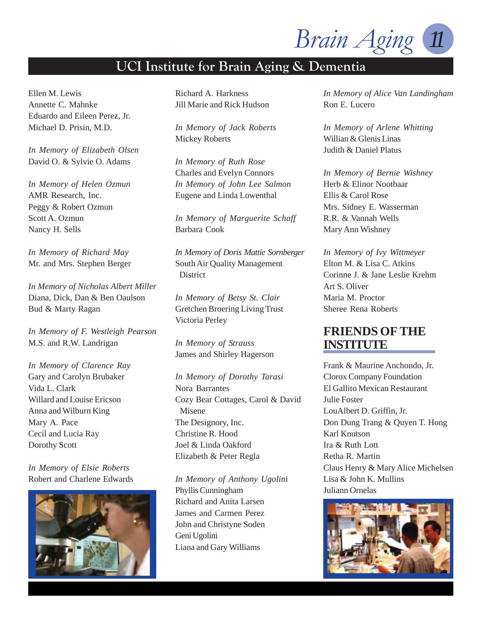*Brain Aging 11*

### **UCI Institute for Brain Aging & Dementia**

Ellen M. Lewis Annette C. Mahnke Eduardo and Eileen Perez, Jr. Michael D. Prisin, M.D.

*In Memory of Elizabeth Olsen* David O. & Sylvie O. Adams

*In Memory of Helen Ozmun* AMR Research, Inc. Peggy & Robert Ozmun Scott A. Ozmun Nancy H. Sells

*In Memory of Richard May* Mr. and Mrs. Stephen Berger

*In Memory of Nicholas Albert Miller* Diana, Dick, Dan & Ben Oaulson Bud & Marty Ragan

*In Memory of F. Westleigh Pearson* M.S. and R.W. Landrigan

*In Memory of Clarence Ray* Gary and Carolyn Brubaker Vida L. Clark Willard and Louise Ericson Anna and Wilburn King Mary A. Pace Cecil and Lucia Ray Dorothy Scott

*In Memory of Elsie Roberts* Robert and Charlene Edwards



Richard A. Harkness Jill Marie and Rick Hudson

*In Memory of Jack Roberts* Mickey Roberts

*In Memory of Ruth Rose* Charles and Evelyn Connors *In Memory of John Lee Salmon* Eugene and Linda Lowenthal

*In Memory of Marguerite Schaff* Barbara Cook

*In Memory of Doris Mattie Sornberger* South Air Quality Management **District** 

*In Memory of Betsy St. Clair* Gretchen Broering Living Trust Victoria Perley

*In Memory of Strauss* James and Shirley Hagerson

*In Memory of Dorothy Tarasi* Nora Barrantes Cozy Bear Cottages, Carol & David Misene The Designory, Inc. Christine R. Hood Joel & Linda Oakford Elizabeth & Peter Regla

*In Memory of Anthony Ugolin*i Phyllis Cunningham Richard and Anita Larsen James and Carmen Perez John and Christyne Soden Geni Ugolini Liana and Gary Williams

*In Memory of Alice Van Landingham* Ron E. Lucero

*In Memory of Arlene Whitting* Willian & Glenis Linas Judith & Daniel Platus

*In Memory of Bernie Wishney* Herb & Elinor Nootbaar Ellis & Carol Rose Mrs. Sidney E. Wasserman R.R. & Vannah Wells Mary Ann Wishney

*In Memory of Ivy Wittmeyer* Elton M. & Lisa C. Atkins Corinne J. & Jane Leslie Krehm Art S. Oliver Maria M. Proctor Sheree Rena Roberts

### **FRIENDS OF THE INSTITUTE**

Frank & Maurine Anchondo, Jr. Clorox Company Foundation El Gallito Mexican Restaurant Julie Foster LouAlbert D. Griffin, Jr. Don Dung Trang & Quyen T. Hong Karl Knutson Ira & Ruth Lott Retha R. Martin Claus Henry & Mary Alice Michelsen Lisa & John K. Mullins Juliann Ornelas